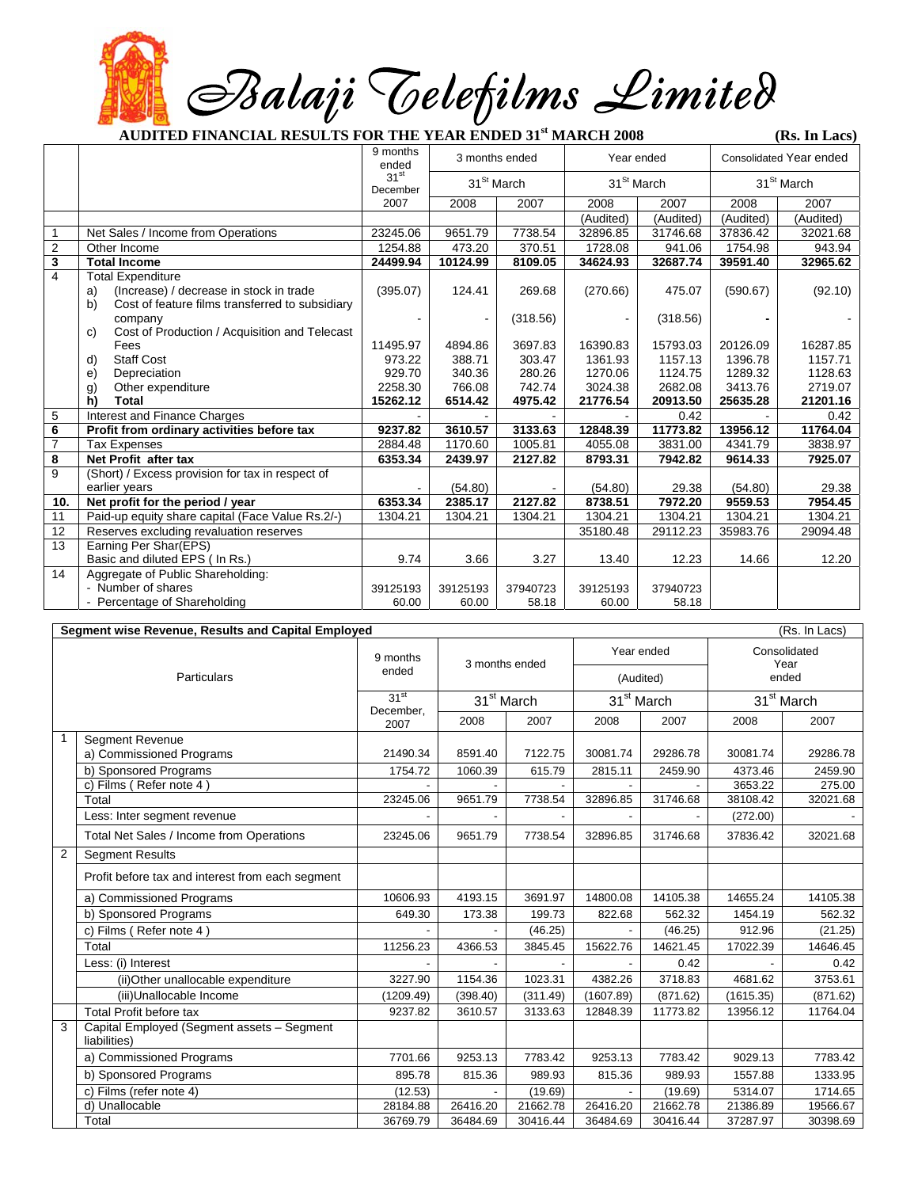*Balaji Telefilms Limited* 

**AUDITED FINANCIAL RESULTS FOR THE YEAR ENDED 31st MARCH 2008 (Rs. In Lacs)** 

|                |                                                                                                                                                                                                      | 9 months<br>ended                                   | 3 months ended                                   |                                                  | Year ended                                            |                                                       | <b>Consolidated Year ended</b>                        |                                                       |
|----------------|------------------------------------------------------------------------------------------------------------------------------------------------------------------------------------------------------|-----------------------------------------------------|--------------------------------------------------|--------------------------------------------------|-------------------------------------------------------|-------------------------------------------------------|-------------------------------------------------------|-------------------------------------------------------|
|                |                                                                                                                                                                                                      | 31 <sup>st</sup><br>December                        | 31 <sup>St</sup> March                           |                                                  | 31 <sup>St</sup> March                                |                                                       | 31 <sup>St</sup> March                                |                                                       |
|                |                                                                                                                                                                                                      | 2007                                                | 2008                                             | 2007                                             | 2008                                                  | 2007                                                  | 2008                                                  | 2007                                                  |
|                |                                                                                                                                                                                                      |                                                     |                                                  |                                                  | (Audited)                                             | (Audited)                                             | (Audited)                                             | (Audited)                                             |
| $\mathbf{1}$   | Net Sales / Income from Operations                                                                                                                                                                   | 23245.06                                            | 9651.79                                          | 7738.54                                          | 32896.85                                              | 31746.68                                              | 37836.42                                              | 32021.68                                              |
| $\overline{c}$ | Other Income                                                                                                                                                                                         | 1254.88                                             | 473.20                                           | 370.51                                           | 1728.08                                               | 941.06                                                | 1754.98                                               | 943.94                                                |
| 3              | <b>Total Income</b>                                                                                                                                                                                  | 24499.94                                            | 10124.99                                         | 8109.05                                          | 34624.93                                              | 32687.74                                              | 39591.40                                              | 32965.62                                              |
| $\overline{4}$ | <b>Total Expenditure</b><br>(Increase) / decrease in stock in trade<br>a)<br>b)<br>Cost of feature films transferred to subsidiary<br>company<br>Cost of Production / Acquisition and Telecast<br>C) | (395.07)                                            | 124.41                                           | 269.68<br>(318.56)                               | (270.66)                                              | 475.07<br>(318.56)                                    | (590.67)                                              | (92.10)                                               |
|                | Fees<br><b>Staff Cost</b><br>d)<br>e)<br>Depreciation<br>g)<br>Other expenditure<br>h)<br>Total                                                                                                      | 11495.97<br>973.22<br>929.70<br>2258.30<br>15262.12 | 4894.86<br>388.71<br>340.36<br>766.08<br>6514.42 | 3697.83<br>303.47<br>280.26<br>742.74<br>4975.42 | 16390.83<br>1361.93<br>1270.06<br>3024.38<br>21776.54 | 15793.03<br>1157.13<br>1124.75<br>2682.08<br>20913.50 | 20126.09<br>1396.78<br>1289.32<br>3413.76<br>25635.28 | 16287.85<br>1157.71<br>1128.63<br>2719.07<br>21201.16 |
| 5              | Interest and Finance Charges                                                                                                                                                                         |                                                     |                                                  |                                                  |                                                       | 0.42                                                  |                                                       | 0.42                                                  |
| 6              | Profit from ordinary activities before tax                                                                                                                                                           | 9237.82                                             | 3610.57                                          | 3133.63                                          | 12848.39                                              | 11773.82                                              | 13956.12                                              | 11764.04                                              |
| $\overline{7}$ | <b>Tax Expenses</b>                                                                                                                                                                                  | 2884.48                                             | 1170.60                                          | 1005.81                                          | 4055.08                                               | 3831.00                                               | 4341.79                                               | 3838.97                                               |
| 8              | Net Profit after tax                                                                                                                                                                                 | 6353.34                                             | 2439.97                                          | 2127.82                                          | 8793.31                                               | 7942.82                                               | 9614.33                                               | 7925.07                                               |
| 9              | (Short) / Excess provision for tax in respect of                                                                                                                                                     |                                                     |                                                  |                                                  |                                                       |                                                       |                                                       |                                                       |
|                | earlier years                                                                                                                                                                                        |                                                     | (54.80)                                          |                                                  | (54.80)                                               | 29.38                                                 | (54.80)                                               | 29.38                                                 |
| 10.            | Net profit for the period / year                                                                                                                                                                     | 6353.34                                             | 2385.17                                          | 2127.82                                          | 8738.51                                               | 7972.20                                               | 9559.53                                               | 7954.45                                               |
| 11             | Paid-up equity share capital (Face Value Rs.2/-)                                                                                                                                                     | 1304.21                                             | 1304.21                                          | 1304.21                                          | 1304.21                                               | 1304.21                                               | 1304.21                                               | 1304.21                                               |
| 12             | Reserves excluding revaluation reserves                                                                                                                                                              |                                                     |                                                  |                                                  | 35180.48                                              | 29112.23                                              | 35983.76                                              | 29094.48                                              |
| 13             | Earning Per Shar(EPS)<br>Basic and diluted EPS ( In Rs.)                                                                                                                                             | 9.74                                                | 3.66                                             | 3.27                                             | 13.40                                                 | 12.23                                                 | 14.66                                                 | 12.20                                                 |
| 14             | Aggregate of Public Shareholding:<br>- Number of shares<br>- Percentage of Shareholding                                                                                                              | 39125193<br>60.00                                   | 39125193<br>60.00                                | 37940723<br>58.18                                | 39125193<br>60.00                                     | 37940723<br>58.18                                     |                                                       |                                                       |

| Segment wise Revenue, Results and Capital Employed<br>(Rs. In Lacs) |                                                            |                                       |                        |          |                        |          |                               |          |  |
|---------------------------------------------------------------------|------------------------------------------------------------|---------------------------------------|------------------------|----------|------------------------|----------|-------------------------------|----------|--|
| Particulars                                                         |                                                            | 9 months<br>ended                     | 3 months ended         |          | Year ended             |          | Consolidated<br>Year<br>ended |          |  |
|                                                                     |                                                            |                                       |                        |          | (Audited)              |          |                               |          |  |
|                                                                     |                                                            | 31 <sup>st</sup><br>December.<br>2007 | 31 <sup>st</sup> March |          | 31 <sup>st</sup> March |          | 31 <sup>st</sup> March        |          |  |
|                                                                     |                                                            |                                       | 2008                   | 2007     | 2008                   | 2007     | 2008                          | 2007     |  |
| 1                                                                   | <b>Segment Revenue</b>                                     |                                       |                        |          |                        |          |                               |          |  |
|                                                                     | a) Commissioned Programs                                   | 21490.34                              | 8591.40                | 7122.75  | 30081.74               | 29286.78 | 30081.74                      | 29286.78 |  |
|                                                                     | b) Sponsored Programs                                      | 1754.72                               | 1060.39                | 615.79   | 2815.11                | 2459.90  | 4373.46                       | 2459.90  |  |
|                                                                     | c) Films (Refer note 4)                                    |                                       |                        |          |                        |          | 3653.22                       | 275.00   |  |
|                                                                     | Total                                                      | 23245.06                              | 9651.79                | 7738.54  | 32896.85               | 31746.68 | 38108.42                      | 32021.68 |  |
|                                                                     | Less: Inter segment revenue                                |                                       |                        |          |                        |          | (272.00)                      |          |  |
|                                                                     | Total Net Sales / Income from Operations                   | 23245.06                              | 9651.79                | 7738.54  | 32896.85               | 31746.68 | 37836.42                      | 32021.68 |  |
| 2                                                                   | <b>Segment Results</b>                                     |                                       |                        |          |                        |          |                               |          |  |
|                                                                     | Profit before tax and interest from each segment           |                                       |                        |          |                        |          |                               |          |  |
|                                                                     | a) Commissioned Programs                                   | 10606.93                              | 4193.15                | 3691.97  | 14800.08               | 14105.38 | 14655.24                      | 14105.38 |  |
|                                                                     | b) Sponsored Programs                                      | 649.30                                | 173.38                 | 199.73   | 822.68                 | 562.32   | 1454.19                       | 562.32   |  |
|                                                                     | c) Films (Refer note 4)                                    |                                       |                        | (46.25)  |                        | (46.25)  | 912.96                        | (21.25)  |  |
|                                                                     | Total                                                      | 11256.23                              | 4366.53                | 3845.45  | 15622.76               | 14621.45 | 17022.39                      | 14646.45 |  |
|                                                                     | Less: (i) Interest                                         |                                       |                        |          |                        | 0.42     |                               | 0.42     |  |
|                                                                     | (ii) Other unallocable expenditure                         | 3227.90                               | 1154.36                | 1023.31  | 4382.26                | 3718.83  | 4681.62                       | 3753.61  |  |
|                                                                     | (iii)Unallocable Income                                    | (1209.49)                             | (398.40)               | (311.49) | (1607.89)              | (871.62) | (1615.35)                     | (871.62) |  |
|                                                                     | Total Profit before tax                                    | 9237.82                               | 3610.57                | 3133.63  | 12848.39               | 11773.82 | 13956.12                      | 11764.04 |  |
| 3                                                                   | Capital Employed (Segment assets - Segment<br>liabilities) |                                       |                        |          |                        |          |                               |          |  |
|                                                                     | a) Commissioned Programs                                   | 7701.66                               | 9253.13                | 7783.42  | 9253.13                | 7783.42  | 9029.13                       | 7783.42  |  |
|                                                                     | b) Sponsored Programs                                      | 895.78                                | 815.36                 | 989.93   | 815.36                 | 989.93   | 1557.88                       | 1333.95  |  |
|                                                                     | c) Films (refer note 4)                                    | (12.53)                               |                        | (19.69)  |                        | (19.69)  | 5314.07                       | 1714.65  |  |
|                                                                     | d) Unallocable                                             | 28184.88                              | 26416.20               | 21662.78 | 26416.20               | 21662.78 | 21386.89                      | 19566.67 |  |
|                                                                     | Total                                                      | 36769.79                              | 36484.69               | 30416.44 | 36484.69               | 30416.44 | 37287.97                      | 30398.69 |  |